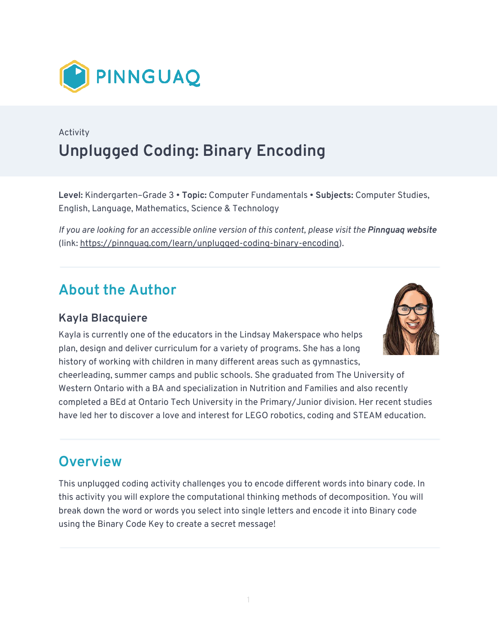

## Activity **Unplugged Coding: Binary Encoding**

**Level:** Kindergarten–Grade 3 • **Topic:** Computer Fundamentals • **Subjects:** Computer Studies, English, Language, Mathematics, Science & Technology

*If you are looking for an accessible online version of this content, please visit the Pinnguag website* (link: [https://pinnguaq.com/learn/unplugged-coding-binary-encoding\)](https://pinnguaq.com/learn/unplugged-coding-binary-encoding).

### **About the Author**

#### **Kayla Blacquiere**

Kayla is currently one of the educators in the Lindsay Makerspace who helps plan, design and deliver curriculum for a variety of programs. She has a long history of working with children in many different areas such as gymnastics,



cheerleading, summer camps and public schools. She graduated from The University of Western Ontario with a BA and specialization in Nutrition and Families and also recently completed a BEd at Ontario Tech University in the Primary/Junior division. Her recent studies have led her to discover a love and interest for LEGO robotics, coding and STEAM education.

### **Overview**

This unplugged coding activity challenges you to encode different words into binary code. In this activity you will explore the computational thinking methods of decomposition. You will break down the word or words you select into single letters and encode it into Binary code using the Binary Code Key to create a secret message!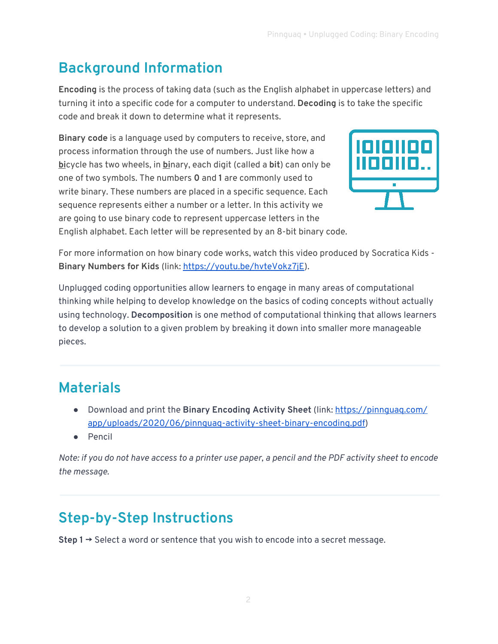# **Background Information**

**Encoding** is the process of taking data (such as the English alphabet in uppercase letters) and turning it into a specific code for a computer to understand. **Decoding** is to take the specific code and break it down to determine what it represents.

**Binary code** is a language used by computers to receive, store, and process information through the use of numbers. Just like how a **bi**cycle has two wheels, in **bi**nary, each digit (called a **bit**) can only be one of two symbols. The numbers **0** and **1** are commonly used to write binary. These numbers are placed in a specific sequence. Each sequence represents either a number or a letter. In this activity we are going to use binary code to represent uppercase letters in the English alphabet. Each letter will be represented by an 8-bit binary code.



For more information on how binary code works, watch this video produced by Socratica Kids - **Binary Numbers for Kids** (link:<https://youtu.be/hvteVokz7jE>).

Unplugged coding opportunities allow learners to engage in many areas of computational thinking while helping to develop knowledge on the basics of coding concepts without actually using technology. **Decomposition** is one method of computational thinking that allows learners to develop a solution to a given problem by breaking it down into smaller more manageable pieces.

## **Materials**

- Download and print the **Binary Encoding Activity Sheet** (link: [https://pinnguaq.com/](https://pinnguaq.com/app/uploads/2020/06/pinnguaq-activity-sheet-binary-encoding.pdf)  [app/uploads/2020/06/pinnguaq-activity-sheet-binary-encoding.pdf](https://pinnguaq.com/app/uploads/2020/06/pinnguaq-activity-sheet-binary-encoding.pdf))
- Pencil

*Note: if you do not have access to a printer use paper, a pencil and the PDF activity sheet to encode the message.* 

# **Step-by-Step Instructions**

**Step 1 →** Select a word or sentence that you wish to encode into a secret message.